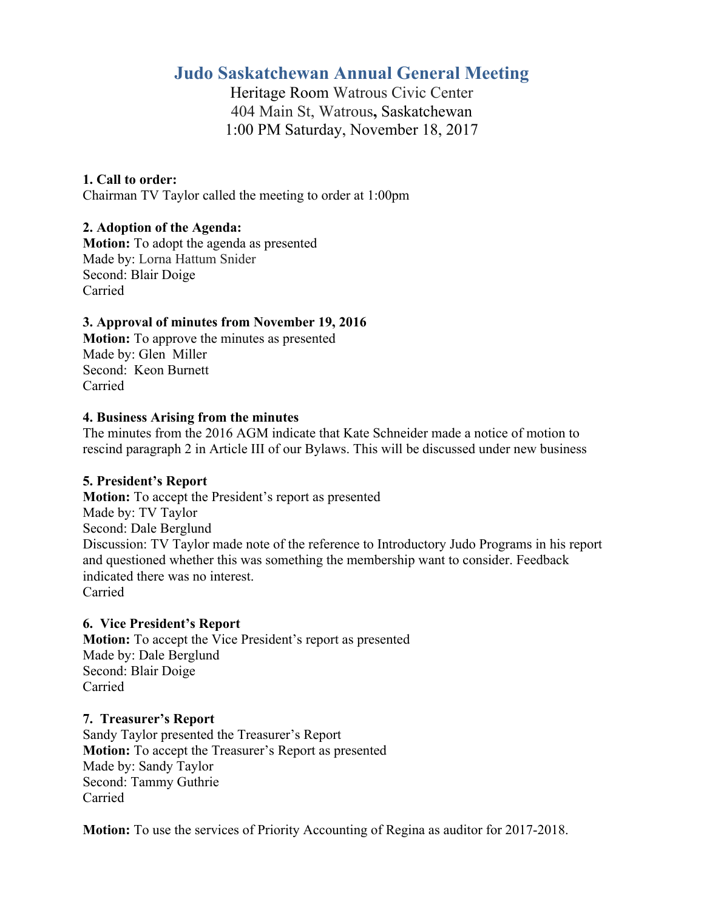# **Judo Saskatchewan Annual General Meeting**

Heritage Room Watrous Civic Center 404 Main St, Watrous**,** Saskatchewan 1:00 PM Saturday, November 18, 2017

# **1. Call to order:**

Chairman TV Taylor called the meeting to order at 1:00pm

# **2. Adoption of the Agenda:**

**Motion:** To adopt the agenda as presented Made by: Lorna Hattum Snider Second: Blair Doige Carried

## **3. Approval of minutes from November 19, 2016**

**Motion:** To approve the minutes as presented Made by: Glen Miller Second: Keon Burnett Carried

## **4. Business Arising from the minutes**

The minutes from the 2016 AGM indicate that Kate Schneider made a notice of motion to rescind paragraph 2 in Article III of our Bylaws. This will be discussed under new business

# **5. President's Report**

**Motion:** To accept the President's report as presented Made by: TV Taylor Second: Dale Berglund Discussion: TV Taylor made note of the reference to Introductory Judo Programs in his report and questioned whether this was something the membership want to consider. Feedback indicated there was no interest. Carried

## **6. Vice President's Report**

**Motion:** To accept the Vice President's report as presented Made by: Dale Berglund Second: Blair Doige Carried

## **7. Treasurer's Report**

Sandy Taylor presented the Treasurer's Report **Motion:** To accept the Treasurer's Report as presented Made by: Sandy Taylor Second: Tammy Guthrie Carried

**Motion:** To use the services of Priority Accounting of Regina as auditor for 2017-2018.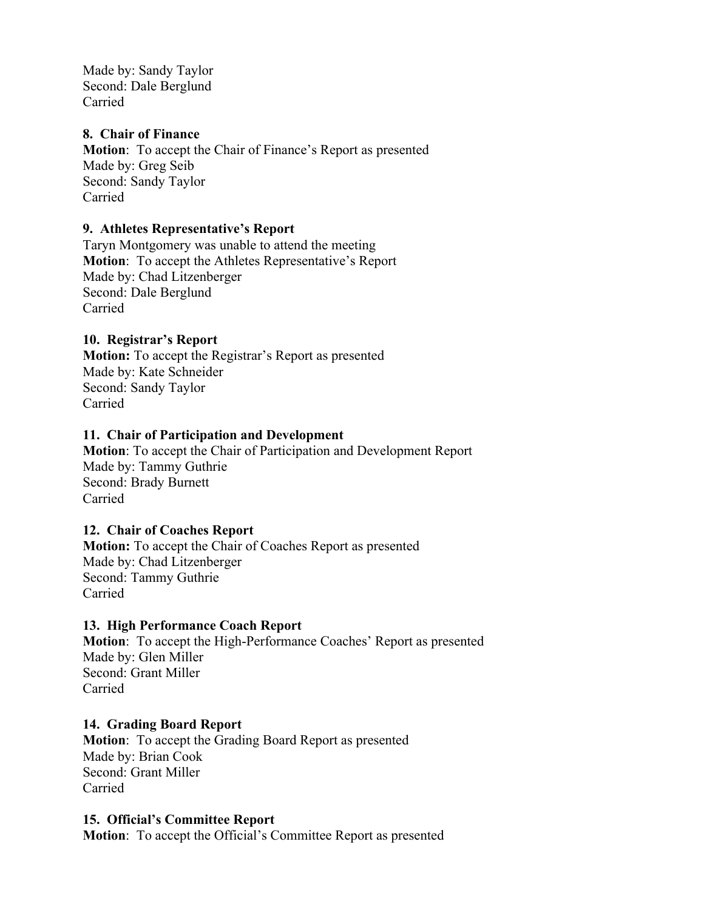Made by: Sandy Taylor Second: Dale Berglund Carried

#### **8. Chair of Finance**

**Motion**: To accept the Chair of Finance's Report as presented Made by: Greg Seib Second: Sandy Taylor Carried

#### **9. Athletes Representative's Report**

Taryn Montgomery was unable to attend the meeting **Motion**: To accept the Athletes Representative's Report Made by: Chad Litzenberger Second: Dale Berglund Carried

#### **10. Registrar's Report**

**Motion:** To accept the Registrar's Report as presented Made by: Kate Schneider Second: Sandy Taylor Carried

#### **11. Chair of Participation and Development**

**Motion**: To accept the Chair of Participation and Development Report Made by: Tammy Guthrie Second: Brady Burnett Carried

#### **12. Chair of Coaches Report**

**Motion:** To accept the Chair of Coaches Report as presented Made by: Chad Litzenberger Second: Tammy Guthrie Carried

#### **13. High Performance Coach Report**

**Motion**: To accept the High-Performance Coaches' Report as presented Made by: Glen Miller Second: Grant Miller Carried

#### **14. Grading Board Report**

**Motion**: To accept the Grading Board Report as presented Made by: Brian Cook Second: Grant Miller Carried

#### **15. Official's Committee Report**

**Motion**: To accept the Official's Committee Report as presented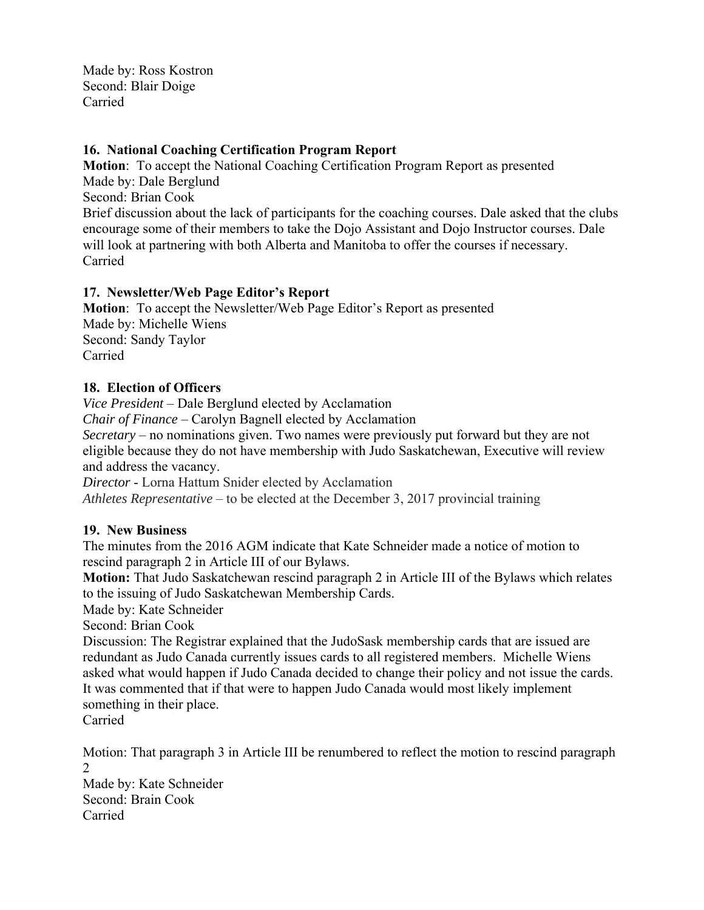Made by: Ross Kostron Second: Blair Doige Carried

## **16. National Coaching Certification Program Report**

**Motion**: To accept the National Coaching Certification Program Report as presented Made by: Dale Berglund Second: Brian Cook Brief discussion about the lack of participants for the coaching courses. Dale asked that the clubs encourage some of their members to take the Dojo Assistant and Dojo Instructor courses. Dale will look at partnering with both Alberta and Manitoba to offer the courses if necessary.

Carried

## **17. Newsletter/Web Page Editor's Report**

**Motion**: To accept the Newsletter/Web Page Editor's Report as presented Made by: Michelle Wiens Second: Sandy Taylor Carried

## **18. Election of Officers**

*Vice President* – Dale Berglund elected by Acclamation

*Chair of Finance* – Carolyn Bagnell elected by Acclamation

*Secretary* – no nominations given. Two names were previously put forward but they are not eligible because they do not have membership with Judo Saskatchewan, Executive will review and address the vacancy.

*Director* - Lorna Hattum Snider elected by Acclamation

*Athletes Representative* – to be elected at the December 3, 2017 provincial training

## **19. New Business**

The minutes from the 2016 AGM indicate that Kate Schneider made a notice of motion to rescind paragraph 2 in Article III of our Bylaws.

**Motion:** That Judo Saskatchewan rescind paragraph 2 in Article III of the Bylaws which relates to the issuing of Judo Saskatchewan Membership Cards.

Made by: Kate Schneider

Second: Brian Cook

Discussion: The Registrar explained that the JudoSask membership cards that are issued are redundant as Judo Canada currently issues cards to all registered members. Michelle Wiens asked what would happen if Judo Canada decided to change their policy and not issue the cards. It was commented that if that were to happen Judo Canada would most likely implement something in their place.

Carried

Motion: That paragraph 3 in Article III be renumbered to reflect the motion to rescind paragraph 2

Made by: Kate Schneider Second: Brain Cook Carried